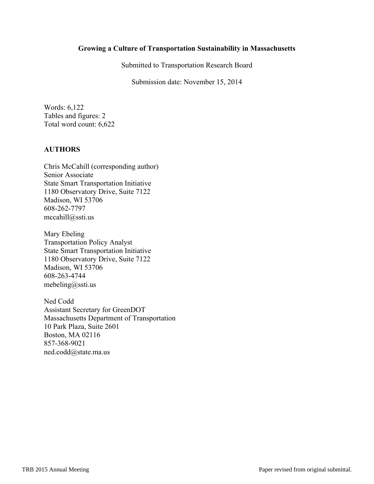## **Growing a Culture of Transportation Sustainability in Massachusetts**

Submitted to Transportation Research Board

Submission date: November 15, 2014

Words: 6,122 Tables and figures: 2 Total word count: 6,622

## **AUTHORS**

Chris McCahill (corresponding author) Senior Associate State Smart Transportation Initiative 1180 Observatory Drive, Suite 7122 Madison, WI 53706 608-262-7797 mccahill@ssti.us

Mary Ebeling Transportation Policy Analyst State Smart Transportation Initiative 1180 Observatory Drive, Suite 7122 Madison, WI 53706 608-263-4744 mebeling@ssti.us

Ned Codd Assistant Secretary for GreenDOT Massachusetts Department of Transportation 10 Park Plaza, Suite 2601 Boston, MA 02116 857-368-9021 ned.codd@state.ma.us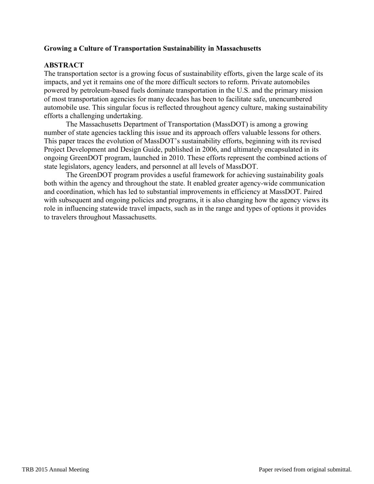## **Growing a Culture of Transportation Sustainability in Massachusetts**

# **ABSTRACT**

The transportation sector is a growing focus of sustainability efforts, given the large scale of its impacts, and yet it remains one of the more difficult sectors to reform. Private automobiles powered by petroleum-based fuels dominate transportation in the U.S. and the primary mission of most transportation agencies for many decades has been to facilitate safe, unencumbered automobile use. This singular focus is reflected throughout agency culture, making sustainability efforts a challenging undertaking.

The Massachusetts Department of Transportation (MassDOT) is among a growing number of state agencies tackling this issue and its approach offers valuable lessons for others. This paper traces the evolution of MassDOT's sustainability efforts, beginning with its revised Project Development and Design Guide, published in 2006, and ultimately encapsulated in its ongoing GreenDOT program, launched in 2010. These efforts represent the combined actions of state legislators, agency leaders, and personnel at all levels of MassDOT.

The GreenDOT program provides a useful framework for achieving sustainability goals both within the agency and throughout the state. It enabled greater agency-wide communication and coordination, which has led to substantial improvements in efficiency at MassDOT. Paired with subsequent and ongoing policies and programs, it is also changing how the agency views its role in influencing statewide travel impacts, such as in the range and types of options it provides to travelers throughout Massachusetts.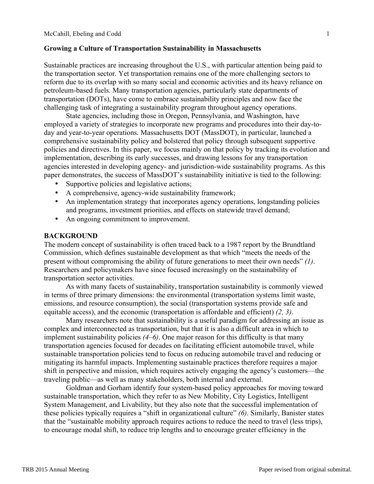### **Growing a Culture of Transportation Sustainability in Massachusetts** 1

Sustainable practices are increasing throughout the U.S., with particular attention being paid to 3 the transportation sector. Yet transportation remains one of the more challenging sectors to 4 reform due to its overlap with so many social and economic activities and its heavy reliance on 5 petroleum-based fuels. Many transportation agencies, particularly state departments of 6 transportation (DOTs), have come to embrace sustainability principles and now face the 7 challenging task of integrating a sustainability program throughout agency operations.

State agencies, including those in Oregon, Pennsylvania, and Washington, have 9 employed a variety of strategies to incorporate new programs and procedures into their day-today and year-to-year operations. Massachusetts DOT (MassDOT), in particular, launched a comprehensive sustainability policy and bolstered that policy through subsequent supportive policies and directives. In this paper, we focus mainly on that policy by tracking its evolution and 13 implementation, describing its early successes, and drawing lessons for any transportation agencies interested in developing agency- and jurisdiction-wide sustainability programs. As this paper demonstrates, the success of MassDOT's sustainability initiative is tied to the following:

- Supportive policies and legislative actions;
- A comprehensive, agency-wide sustainability framework;
- An implementation strategy that incorporates agency operations, longstanding policies and programs, investment priorities, and effects on statewide travel demand;
- An ongoing commitment to improvement.

#### **BACKGROUND**

The modern concept of sustainability is often traced back to a 1987 report by the Brundtland Commission, which defines sustainable development as that which "meets the needs of the present without compromising the ability of future generations to meet their own needs" *(1)*. 26 Researchers and policymakers have since focused increasingly on the sustainability of transportation sector activities.

As with many facets of sustainability, transportation sustainability is commonly viewed in terms of three primary dimensions: the environmental (transportation systems limit waste, emissions, and resource consumption), the social (transportation systems provide safe and equitable access), and the economic (transportation is affordable and efficient) (2, 3).

Many researchers note that sustainability is a useful paradigm for addressing an issue as complex and interconnected as transportation, but that it is also a difficult area in which to implement sustainability policies  $(4-6)$ . One major reason for this difficulty is that many transportation agencies focused for decades on facilitating efficient automobile travel, while 36 sustainable transportation policies tend to focus on reducing automobile travel and reducing or mitigating its harmful impacts. Implementing sustainable practices therefore requires a major 38 shift in perspective and mission, which requires actively engaging the agency's customers—the traveling public—as well as many stakeholders, both internal and external. 40

Goldman and Gorham identify four system-based policy approaches for moving toward 41 sustainable transportation, which they refer to as New Mobility, City Logistics, Intelligent System Management, and Livability, but they also note that the successful implementation of these policies typically requires a "shift in organizational culture" *(6)*. Similarly, Banister states that the "sustainable mobility approach requires actions to reduce the need to travel (less trips), 45 to encourage modal shift, to reduce trip lengths and to encourage greater efficiency in the 46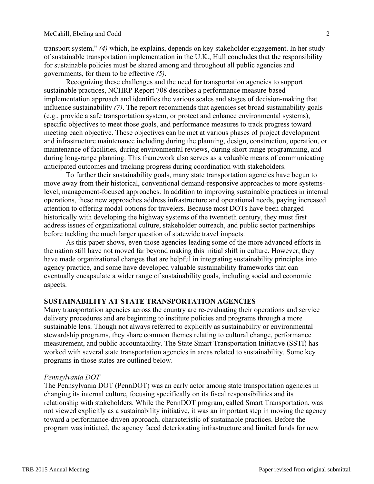transport system," *(4)* which, he explains, depends on key stakeholder engagement. In her study 1 of sustainable transportation implementation in the U.K., Hull concludes that the responsibility 2 for sustainable policies must be shared among and throughout all public agencies and 3 governments, for them to be effective *(5)*. 4

Recognizing these challenges and the need for transportation agencies to support sustainable practices, NCHRP Report 708 describes a performance measure-based 6 implementation approach and identifies the various scales and stages of decision-making that 7 influence sustainability *(7)*. The report recommends that agencies set broad sustainability goals 8 (e.g., provide a safe transportation system, or protect and enhance environmental systems), 9 specific objectives to meet those goals, and performance measures to track progress toward meeting each objective. These objectives can be met at various phases of project development and infrastructure maintenance including during the planning, design, construction, operation, or 12 maintenance of facilities, during environmental reviews, during short-range programming, and 13 during long-range planning. This framework also serves as a valuable means of communicating anticipated outcomes and tracking progress during coordination with stakeholders. 15

To further their sustainability goals, many state transportation agencies have begun to 16 move away from their historical, conventional demand-responsive approaches to more systems- 17 level, management-focused approaches. In addition to improving sustainable practices in internal operations, these new approaches address infrastructure and operational needs, paying increased 19 attention to offering modal options for travelers. Because most DOTs have been charged historically with developing the highway systems of the twentieth century, they must first address issues of organizational culture, stakeholder outreach, and public sector partnerships before tackling the much larger question of statewide travel impacts.

As this paper shows, even those agencies leading some of the more advanced efforts in the nation still have not moved far beyond making this initial shift in culture. However, they have made organizational changes that are helpful in integrating sustainability principles into agency practice, and some have developed valuable sustainability frameworks that can 27 eventually encapsulate a wider range of sustainability goals, including social and economic aspects.

## **SUSTAINABILITY AT STATE TRANSPORTATION AGENCIES**

Many transportation agencies across the country are re-evaluating their operations and service delivery procedures and are beginning to institute policies and programs through a more sustainable lens. Though not always referred to explicitly as sustainability or environmental stewardship programs, they share common themes relating to cultural change, performance measurement, and public accountability. The State Smart Transportation Initiative (SSTI) has 36 worked with several state transportation agencies in areas related to sustainability. Some key 37 programs in those states are outlined below. 38

### *Pennsylvania DOT* 40

The Pennsylvania DOT (PennDOT) was an early actor among state transportation agencies in 41 changing its internal culture, focusing specifically on its fiscal responsibilities and its 42 relationship with stakeholders. While the PennDOT program, called Smart Transportation, was 43 not viewed explicitly as a sustainability initiative, it was an important step in moving the agency 44 toward a performance-driven approach, characteristic of sustainable practices. Before the program was initiated, the agency faced deteriorating infrastructure and limited funds for new 46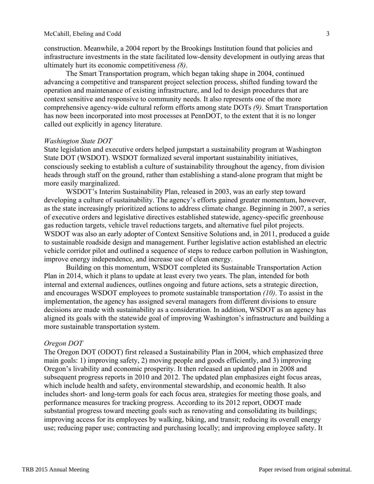construction. Meanwhile, a 2004 report by the Brookings Institution found that policies and 1 infrastructure investments in the state facilitated low-density development in outlying areas that 2 ultimately hurt its economic competitiveness *(8)*. 3

The Smart Transportation program, which began taking shape in 2004, continued 4 advancing a competitive and transparent project selection process, shifted funding toward the 5 operation and maintenance of existing infrastructure, and led to design procedures that are 6 context sensitive and responsive to community needs. It also represents one of the more comprehensive agency-wide cultural reform efforts among state DOTs *(9)*. Smart Transportation 8 has now been incorporated into most processes at PennDOT, to the extent that it is no longer called out explicitly in agency literature.

### *Washington State DOT*

State legislation and executive orders helped jumpstart a sustainability program at Washington State DOT (WSDOT). WSDOT formalized several important sustainability initiatives, consciously seeking to establish a culture of sustainability throughout the agency, from division 15 heads through staff on the ground, rather than establishing a stand-alone program that might be more easily marginalized.

WSDOT's Interim Sustainability Plan, released in 2003, was an early step toward developing a culture of sustainability. The agency's efforts gained greater momentum, however, as the state increasingly prioritized actions to address climate change. Beginning in 2007, a series of executive orders and legislative directives established statewide, agency-specific greenhouse 21 gas reduction targets, vehicle travel reductions targets, and alternative fuel pilot projects. 22 WSDOT was also an early adopter of Context Sensitive Solutions and, in 2011, produced a guide to sustainable roadside design and management. Further legislative action established an electric 24 vehicle corridor pilot and outlined a sequence of steps to reduce carbon pollution in Washington, 25 improve energy independence, and increase use of clean energy.

Building on this momentum, WSDOT completed its Sustainable Transportation Action 27 Plan in 2014, which it plans to update at least every two years. The plan, intended for both internal and external audiences, outlines ongoing and future actions, sets a strategic direction, 29 and encourages WSDOT employees to promote sustainable transportation  $(10)$ . To assist in the implementation, the agency has assigned several managers from different divisions to ensure decisions are made with sustainability as a consideration. In addition, WSDOT as an agency has aligned its goals with the statewide goal of improving Washington's infrastructure and building a more sustainable transportation system.

#### *Oregon DOT* 36

The Oregon DOT (ODOT) first released a Sustainability Plan in 2004, which emphasized three main goals: 1) improving safety, 2) moving people and goods efficiently, and 3) improving Oregon's livability and economic prosperity. It then released an updated plan in 2008 and subsequent progress reports in 2010 and 2012. The updated plan emphasizes eight focus areas, which include health and safety, environmental stewardship, and economic health. It also includes short- and long-term goals for each focus area, strategies for meeting those goals, and 42 performance measures for tracking progress. According to its 2012 report, ODOT made 43 substantial progress toward meeting goals such as renovating and consolidating its buildings; 44 improving access for its employees by walking, biking, and transit; reducing its overall energy 45 use; reducing paper use; contracting and purchasing locally; and improving employee safety. It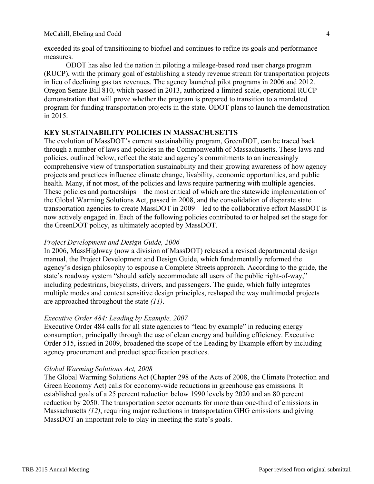exceeded its goal of transitioning to biofuel and continues to refine its goals and performance measures.

ODOT has also led the nation in piloting a mileage-based road user charge program 3 (RUCP), with the primary goal of establishing a steady revenue stream for transportation projects 4 in lieu of declining gas tax revenues. The agency launched pilot programs in 2006 and 2012. Oregon Senate Bill 810, which passed in 2013, authorized a limited-scale, operational RUCP 6 demonstration that will prove whether the program is prepared to transition to a mandated 7 program for funding transportation projects in the state. ODOT plans to launch the demonstration 8  $\sin 2015$ .

## **KEY SUSTAINABILITY POLICIES IN MASSACHUSETTS**

The evolution of MassDOT's current sustainability program, GreenDOT, can be traced back 12 through a number of laws and policies in the Commonwealth of Massachusetts. These laws and 13 policies, outlined below, reflect the state and agency's commitments to an increasingly 14 comprehensive view of transportation sustainability and their growing awareness of how agency 15 projects and practices influence climate change, livability, economic opportunities, and public 16 health. Many, if not most, of the policies and laws require partnering with multiple agencies. These policies and partnerships—the most critical of which are the statewide implementation of the Global Warming Solutions Act, passed in 2008, and the consolidation of disparate state transportation agencies to create MassDOT in 2009—led to the collaborative effort MassDOT is 20 now actively engaged in. Each of the following policies contributed to or helped set the stage for 21 the GreenDOT policy, as ultimately adopted by MassDOT.

#### **Project Development and Design Guide, 2006**

In 2006, MassHighway (now a division of MassDOT) released a revised departmental design manual, the Project Development and Design Guide, which fundamentally reformed the 26 agency's design philosophy to espouse a Complete Streets approach. According to the guide, the state's roadway system "should safely accommodate all users of the public right-of-way," including pedestrians, bicyclists, drivers, and passengers. The guide, which fully integrates multiple modes and context sensitive design principles, reshaped the way multimodal projects 30 are approached throughout the state (11).

#### *Executive Order 484: Leading by Example, 2007*

Executive Order 484 calls for all state agencies to "lead by example" in reducing energy consumption, principally through the use of clean energy and building efficiency. Executive Order 515, issued in 2009, broadened the scope of the Leading by Example effort by including 36 agency procurement and product specification practices.

#### *Global Warming Solutions Act, 2008* 39

The Global Warming Solutions Act (Chapter 298 of the Acts of 2008, the Climate Protection and Green Economy Act) calls for economy-wide reductions in greenhouse gas emissions. It established goals of a 25 percent reduction below 1990 levels by 2020 and an 80 percent reduction by 2050. The transportation sector accounts for more than one-third of emissions in Massachusetts (12), requiring major reductions in transportation GHG emissions and giving MassDOT an important role to play in meeting the state's goals.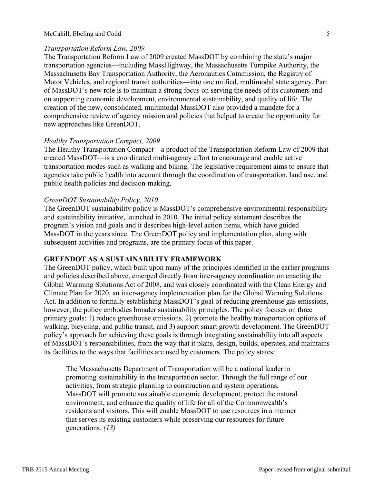#### *Transportation Reform Law, 2009* 1

The Transportation Reform Law of 2009 created MassDOT by combining the state's major 2 transportation agencies—including MassHighway, the Massachusetts Turnpike Authority, the Massachusetts Bay Transportation Authority, the Aeronautics Commission, the Registry of 4 Motor Vehicles, and regional transit authorities—into one unified, multimodal state agency. Part of MassDOT's new role is to maintain a strong focus on serving the needs of its customers and 6 on supporting economic development, environmental sustainability, and quality of life. The 7 creation of the new, consolidated, multimodal MassDOT also provided a mandate for a 8 comprehensive review of agency mission and policies that helped to create the opportunity for new approaches like GreenDOT. new approaches like GreenDOT.

## *Healthy Transportation Compact, 2009*

The Healthy Transportation Compact—a product of the Transportation Reform Law of 2009 that created MassDOT—is a coordinated multi-agency effort to encourage and enable active 14 transportation modes such as walking and biking. The legislative requirement aims to ensure that 15 agencies take public health into account through the coordination of transportation, land use, and 16 public health policies and decision-making. 17

### *GreenDOT Sustainability Policy, 2010*

The GreenDOT sustainability policy is MassDOT's comprehensive environmental responsibility and sustainability initiative, launched in 2010. The initial policy statement describes the program's vision and goals and it describes high-level action items, which have guided 22 MassDOT in the years since. The GreenDOT policy and implementation plan, along with subsequent activities and programs, are the primary focus of this paper.

## **GREENDOT AS A SUSTAINABILITY FRAMEWORK**

The GreenDOT policy, which built upon many of the principles identified in the earlier programs and policies described above, emerged directly from inter-agency coordination on enacting the Global Warming Solutions Act of 2008, and was closely coordinated with the Clean Energy and Climate Plan for 2020, an inter-agency implementation plan for the Global Warming Solutions 30 Act. In addition to formally establishing MassDOT's goal of reducing greenhouse gas emissions, however, the policy embodies broader sustainability principles. The policy focuses on three primary goals: 1) reduce greenhouse emissions, 2) promote the healthy transportation options of walking, bicycling, and public transit, and 3) support smart growth development. The GreenDOT policy's approach for achieving these goals is through integrating sustainability into all aspects 35 of MassDOT's responsibilities, from the way that it plans, design, builds, operates, and maintains 36 its facilities to the ways that facilities are used by customers. The policy states:

The Massachusetts Department of Transportation will be a national leader in 39 promoting sustainability in the transportation sector. Through the full range of our 40 activities, from strategic planning to construction and system operations, 41 MassDOT will promote sustainable economic development, protect the natural 42 environment, and enhance the quality of life for all of the Commonwealth's residents and visitors. This will enable MassDOT to use resources in a manner that serves its existing customers while preserving our resources for future generations.  $(13)$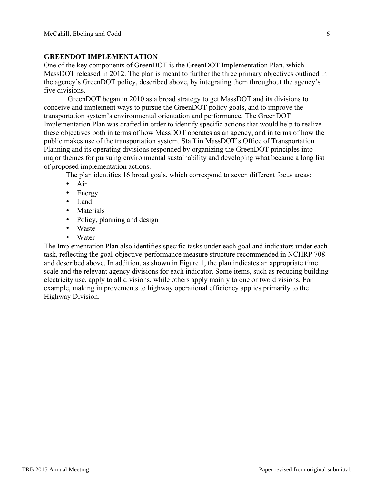### **GREENDOT IMPLEMENTATION** 2

One of the key components of GreenDOT is the GreenDOT Implementation Plan, which 3 MassDOT released in 2012. The plan is meant to further the three primary objectives outlined in 4 the agency's GreenDOT policy, described above, by integrating them throughout the agency's 5 five divisions.

GreenDOT began in 2010 as a broad strategy to get MassDOT and its divisions to 7 conceive and implement ways to pursue the GreenDOT policy goals, and to improve the transportation system's environmental orientation and performance. The GreenDOT 9 Implementation Plan was drafted in order to identify specific actions that would help to realize these objectives both in terms of how MassDOT operates as an agency, and in terms of how the 11 public makes use of the transportation system. Staff in MassDOT's Office of Transportation 12 Planning and its operating divisions responded by organizing the GreenDOT principles into major themes for pursuing environmental sustainability and developing what became a long list 14 of proposed implementation actions.

The plan identifies 16 broad goals, which correspond to seven different focus areas:

- Air  $\overline{a}$
- Energy
- Land
- Materials 2018 and 2019 and 2019 and 2019 and 2019 and 2019 and 2019 and 2019 and 2019 and 2019 and 2019 and 2019 and 2019 and 2019 and 2019 and 2019 and 2019 and 2019 and 2019 and 2019 and 2019 and 2019 and 2019 and 201
- Policy, planning and design
- Waste
- Water

The Implementation Plan also identifies specific tasks under each goal and indicators under each 24 task, reflecting the goal-objective-performance measure structure recommended in NCHRP 708 and described above. In addition, as shown in Figure 1, the plan indicates an appropriate time scale and the relevant agency divisions for each indicator. Some items, such as reducing building electricity use, apply to all divisions, while others apply mainly to one or two divisions. For example, making improvements to highway operational efficiency applies primarily to the Highway Division. 30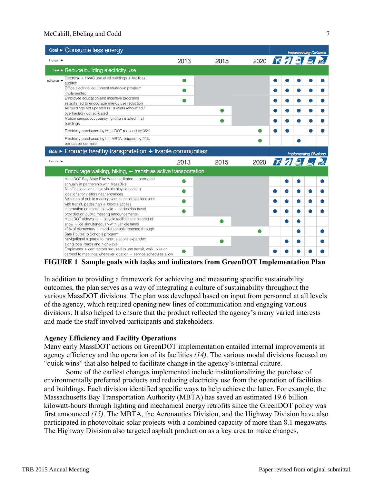## McCahill, Ebeling and Codd 7

| Goal > Consume less energy                                                                                                        |      |      |            |   | <b>Implementing Divisions</b> |      |                               |  |  |
|-----------------------------------------------------------------------------------------------------------------------------------|------|------|------------|---|-------------------------------|------|-------------------------------|--|--|
| Horizon $\blacktriangleright$                                                                                                     | 2013 | 2015 | 2020 下分马马底 |   |                               |      |                               |  |  |
| Task ► Reduce building electricity use                                                                                            |      |      |            |   |                               |      |                               |  |  |
| Electrical + HVAC use of all buildings + facilities<br>Indicators $\blacktriangleright$<br>audited                                |      |      |            | o |                               |      |                               |  |  |
| Office electrical equipment shutdown program<br>implemented                                                                       |      |      |            |   |                               |      |                               |  |  |
| Employee education and incentive programs<br>established to encourage energy use reduction                                        |      |      |            | O |                               |      |                               |  |  |
| All buildings not updated in 10 years renovated /<br>overhauled / consolidated                                                    |      |      |            |   |                               |      |                               |  |  |
| Motion sensor/occupancy lighting installed in all<br>buildings                                                                    |      |      |            | œ |                               |      |                               |  |  |
| Electricity purchased by MassDOT reduced by 35%                                                                                   |      |      |            |   |                               |      |                               |  |  |
| Electricity purchased by the MBTA reduced by 20%<br>per passenger mile                                                            |      |      |            |   |                               |      |                               |  |  |
| Goal $\blacktriangleright$ Promote healthy transportation $+$ livable communities                                                 |      |      |            |   |                               |      | <b>Implementing Divisions</b> |  |  |
| Horizon >                                                                                                                         | 2013 | 2015 | 2020       |   |                               | KAAA |                               |  |  |
| Encourage walking, biking, $+$ transit as active transportation                                                                   |      |      |            |   |                               |      |                               |  |  |
| MassDOT Bay State Bike Week facilitated + promoted<br>annually in partnership with MassBike                                       |      |      |            |   |                               |      |                               |  |  |
| All office locations have visible bicycle parking<br>locations for visitors near entrances                                        |      |      |            |   |                               |      |                               |  |  |
| Selection of public meeting venues prioritizes locations<br>with transit, pedestrian + bicycle access                             |      |      |            |   |                               |      |                               |  |  |
| Information on transit, bicycle + pedestrian travel                                                                               |      |      |            |   |                               |      |                               |  |  |
| provided on public meeting announcements<br>MassDOT sidewalks + bicycle facilities are cleared of                                 |      | Q    |            |   |                               |      |                               |  |  |
| snow + ice simultaneously with vehicle lanes<br>40% of elementary + middle schools reached through                                |      |      |            |   |                               |      |                               |  |  |
| Safe Routes to Schools program                                                                                                    |      |      |            |   |                               |      |                               |  |  |
| Navigational signage to transit stations expanded<br>along local roads and highways                                               |      |      |            |   |                               |      |                               |  |  |
| Employees + contractors required to use transit, walk, bike or<br>carpool to meetings whenever location + service schedules allow |      |      |            |   |                               |      |                               |  |  |

**FIGURE 1 Sample goals with tasks and indicators from GreenDOT Implementation Plan** 3

In addition to providing a framework for achieving and measuring specific sustainability outcomes, the plan serves as a way of integrating a culture of sustainability throughout the 6 various MassDOT divisions. The plan was developed based on input from personnel at all levels 7 of the agency, which required opening new lines of communication and engaging various 8 divisions. It also helped to ensure that the product reflected the agency's many varied interests 9 and made the staff involved participants and stakeholders.

## **Agency Efficiency and Facility Operations**

Many early MassDOT actions on GreenDOT implementation entailed internal improvements in 13 agency efficiency and the operation of its facilities  $(14)$ . The various modal divisions focused on "quick wins" that also helped to facilitate change in the agency's internal culture.

Some of the earliest changes implemented include institutionalizing the purchase of environmentally preferred products and reducing electricity use from the operation of facilities 17 and buildings. Each division identified specific ways to help achieve the latter. For example, the Massachusetts Bay Transportation Authority (MBTA) has saved an estimated 19.6 billion 19 kilowatt-hours through lighting and mechanical energy retrofits since the GreenDOT policy was first announced *(15)*. The MBTA, the Aeronautics Division, and the Highway Division have also 21 participated in photovoltaic solar projects with a combined capacity of more than 8.1 megawatts. The Highway Division also targeted asphalt production as a key area to make changes,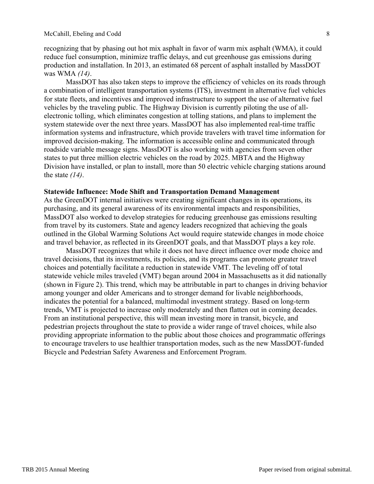recognizing that by phasing out hot mix asphalt in favor of warm mix asphalt (WMA), it could 1 reduce fuel consumption, minimize traffic delays, and cut greenhouse gas emissions during 2 production and installation. In 2013, an estimated 68 percent of asphalt installed by MassDOT 3 was WMA *(14)*. 4

MassDOT has also taken steps to improve the efficiency of vehicles on its roads through a combination of intelligent transportation systems (ITS), investment in alternative fuel vehicles 6 for state fleets, and incentives and improved infrastructure to support the use of alternative fuel 7 vehicles by the traveling public. The Highway Division is currently piloting the use of all- 8 electronic tolling, which eliminates congestion at tolling stations, and plans to implement the system statewide over the next three years. MassDOT has also implemented real-time traffic information systems and infrastructure, which provide travelers with travel time information for 11 improved decision-making. The information is accessible online and communicated through roadside variable message signs. MassDOT is also working with agencies from seven other states to put three million electric vehicles on the road by 2025. MBTA and the Highway Division have installed, or plan to install, more than 50 electric vehicle charging stations around the state  $(14)$ .

#### **Statewide Influence: Mode Shift and Transportation Demand Management**

As the GreenDOT internal initiatives were creating significant changes in its operations, its purchasing, and its general awareness of its environmental impacts and responsibilities, MassDOT also worked to develop strategies for reducing greenhouse gas emissions resulting 21 from travel by its customers. State and agency leaders recognized that achieving the goals 22 outlined in the Global Warming Solutions Act would require statewide changes in mode choice and travel behavior, as reflected in its GreenDOT goals, and that MassDOT plays a key role.

MassDOT recognizes that while it does not have direct influence over mode choice and travel decisions, that its investments, its policies, and its programs can promote greater travel 26 choices and potentially facilitate a reduction in statewide VMT. The leveling off of total 27 statewide vehicle miles traveled (VMT) began around 2004 in Massachusetts as it did nationally (shown in Figure 2). This trend, which may be attributable in part to changes in driving behavior 29 among younger and older Americans and to stronger demand for livable neighborhoods, indicates the potential for a balanced, multimodal investment strategy. Based on long-term trends, VMT is projected to increase only moderately and then flatten out in coming decades. 32 From an institutional perspective, this will mean investing more in transit, bicycle, and pedestrian projects throughout the state to provide a wider range of travel choices, while also 34 providing appropriate information to the public about those choices and programmatic offerings to encourage travelers to use healthier transportation modes, such as the new MassDOT-funded Bicycle and Pedestrian Safety Awareness and Enforcement Program.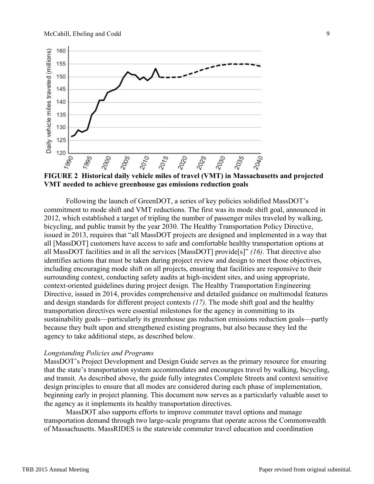

**VMT needed to achieve greenhouse gas emissions reduction goals** 3

Following the launch of GreenDOT, a series of key policies solidified MassDOT's 5 commitment to mode shift and VMT reductions. The first was its mode shift goal, announced in 2012, which established a target of tripling the number of passenger miles traveled by walking, 7 bicycling, and public transit by the year 2030. The Healthy Transportation Policy Directive, issued in 2013, requires that "all MassDOT projects are designed and implemented in a way that 9 all [MassDOT] customers have access to safe and comfortable healthy transportation options at all MassDOT facilities and in all the services [MassDOT] provide[s]" *(16)*. That directive also 11 identifies actions that must be taken during project review and design to meet those objectives, including encouraging mode shift on all projects, ensuring that facilities are responsive to their surrounding context, conducting safety audits at high-incident sites, and using appropriate, context-oriented guidelines during project design. The Healthy Transportation Engineering Directive, issued in 2014, provides comprehensive and detailed guidance on multimodal features and design standards for different project contexts (17). The mode shift goal and the healthy transportation directives were essential milestones for the agency in committing to its 18 sustainability goals—particularly its greenhouse gas reduction emissions reduction goals—partly because they built upon and strengthened existing programs, but also because they led the agency to take additional steps, as described below.

### *Longstanding Policies and Programs*

MassDOT's Project Development and Design Guide serves as the primary resource for ensuring that the state's transportation system accommodates and encourages travel by walking, bicycling, 25 and transit. As described above, the guide fully integrates Complete Streets and context sensitive 26 design principles to ensure that all modes are considered during each phase of implementation, beginning early in project planning. This document now serves as a particularly valuable asset to the agency as it implements its healthy transportation directives.

MassDOT also supports efforts to improve commuter travel options and manage transportation demand through two large-scale programs that operate across the Commonwealth 31 of Massachusetts. MassRIDES is the statewide commuter travel education and coordination 32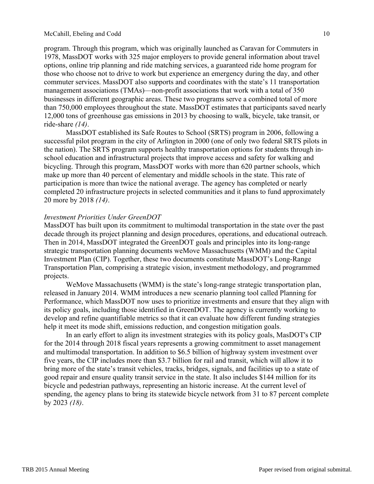program. Through this program, which was originally launched as Caravan for Commuters in 1 1978, MassDOT works with 325 major employers to provide general information about travel 2 options, online trip planning and ride matching services, a guaranteed ride home program for 3 those who choose not to drive to work but experience an emergency during the day, and other 4 commuter services. MassDOT also supports and coordinates with the state's 11 transportation 5 management associations (TMAs)—non-profit associations that work with a total of 350 businesses in different geographic areas. These two programs serve a combined total of more 7 than 750,000 employees throughout the state. MassDOT estimates that participants saved nearly 8 12,000 tons of greenhouse gas emissions in 2013 by choosing to walk, bicycle, take transit, or 9  $\text{ride-share } (14)$ .

MassDOT established its Safe Routes to School (SRTS) program in 2006, following a 11 successful pilot program in the city of Arlington in 2000 (one of only two federal SRTS pilots in the nation). The SRTS program supports healthy transportation options for students through in- 13 school education and infrastructural projects that improve access and safety for walking and bicycling. Through this program, MassDOT works with more than 620 partner schools, which make up more than 40 percent of elementary and middle schools in the state. This rate of participation is more than twice the national average. The agency has completed or nearly 17 completed 20 infrastructure projects in selected communities and it plans to fund approximately 20 more by 2018 *(14)*. 19

### **Investment Priorities Under GreenDOT**

MassDOT has built upon its commitment to multimodal transportation in the state over the past decade through its project planning and design procedures, operations, and educational outreach. Then in 2014, MassDOT integrated the GreenDOT goals and principles into its long-range 24 strategic transportation planning documents weMove Massachusetts (WMM) and the Capital Investment Plan (CIP). Together, these two documents constitute MassDOT's Long-Range 26 Transportation Plan, comprising a strategic vision, investment methodology, and programmed 27 projects.

WeMove Massachusetts (WMM) is the state's long-range strategic transportation plan, released in January 2014. WMM introduces a new scenario planning tool called Planning for Performance, which MassDOT now uses to prioritize investments and ensure that they align with its policy goals, including those identified in GreenDOT. The agency is currently working to 32 develop and refine quantifiable metrics so that it can evaluate how different funding strategies help it meet its mode shift, emissions reduction, and congestion mitigation goals.

In an early effort to align its investment strategies with its policy goals, MasDOT's CIP for the 2014 through 2018 fiscal years represents a growing commitment to asset management and multimodal transportation. In addition to \$6.5 billion of highway system investment over five years, the CIP includes more than \$3.7 billion for rail and transit, which will allow it to bring more of the state's transit vehicles, tracks, bridges, signals, and facilities up to a state of good repair and ensure quality transit service in the state. It also includes \$144 million for its 40 bicycle and pedestrian pathways, representing an historic increase. At the current level of spending, the agency plans to bring its statewide bicycle network from 31 to 87 percent complete by 2023 *(18)*. 43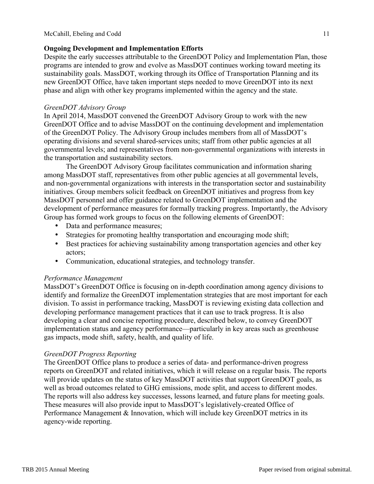# **Ongoing Development and Implementation Efforts**

Despite the early successes attributable to the GreenDOT Policy and Implementation Plan, those programs are intended to grow and evolve as MassDOT continues working toward meeting its 3 sustainability goals. MassDOT, working through its Office of Transportation Planning and its 4 new GreenDOT Office, have taken important steps needed to move GreenDOT into its next 5 phase and align with other key programs implemented within the agency and the state. 6

## *GreenDOT Advisory Group* 8.2 and 8.2 and 8.2 and 8.2 and 8.2 and 8.2 and 8.2 and 8.2 and 8.2 and 8.2 and 8.2 and 8.2 and 8.2 and 8.2 and 8.2 and 8.2 and 8.2 and 8.2 and 8.2 and 8.2 and 8.2 and 8.2 and 8.2 and 8.2 and 8.2

In April 2014, MassDOT convened the GreenDOT Advisory Group to work with the new GreenDOT Office and to advise MassDOT on the continuing development and implementation of the GreenDOT Policy. The Advisory Group includes members from all of MassDOT's 11 operating divisions and several shared-services units; staff from other public agencies at all 12 governmental levels; and representatives from non-governmental organizations with interests in 13 the transportation and sustainability sectors.

The GreenDOT Advisory Group facilitates communication and information sharing 15 among MassDOT staff, representatives from other public agencies at all governmental levels, and non-governmental organizations with interests in the transportation sector and sustainability 17 initiatives. Group members solicit feedback on GreenDOT initiatives and progress from key 18 MassDOT personnel and offer guidance related to GreenDOT implementation and the development of performance measures for formally tracking progress. Importantly, the Advisory Group has formed work groups to focus on the following elements of GreenDOT:

- Data and performance measures;
- Strategies for promoting healthy transportation and encouraging mode shift;
- Best practices for achieving sustainability among transportation agencies and other key actors;
- Communication, educational strategies, and technology transfer.

# **Performance Management** 28 and 28 and 28 and 28 and 28 and 28 and 28 and 28 and 28 and 28 and 28 and 28 and 28 and 28 and 28 and 28 and 28 and 28 and 28 and 28 and 28 and 28 and 28 and 28 and 28 and 28 and 28 and 28 and 2

MassDOT's GreenDOT Office is focusing on in-depth coordination among agency divisions to identify and formalize the GreenDOT implementation strategies that are most important for each division. To assist in performance tracking, MassDOT is reviewing existing data collection and 31 developing performance management practices that it can use to track progress. It is also developing a clear and concise reporting procedure, described below, to convey GreenDOT implementation status and agency performance—particularly in key areas such as greenhouse 34 gas impacts, mode shift, safety, health, and quality of life.

## *GreenDOT Progress Reporting* 37

The GreenDOT Office plans to produce a series of data- and performance-driven progress reports on GreenDOT and related initiatives, which it will release on a regular basis. The reports 39 will provide updates on the status of key MassDOT activities that support GreenDOT goals, as well as broad outcomes related to GHG emissions, mode split, and access to different modes. The reports will also address key successes, lessons learned, and future plans for meeting goals. 42 These measures will also provide input to MassDOT's legislatively-created Office of 43 Performance Management & Innovation, which will include key GreenDOT metrics in its agency-wide reporting.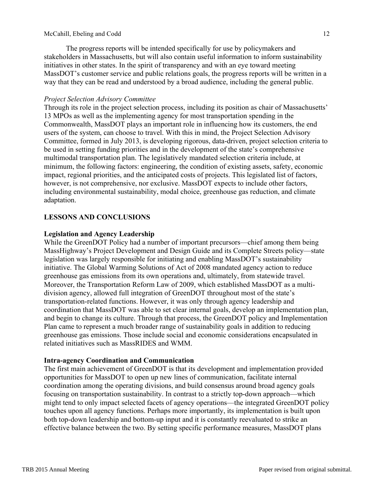The progress reports will be intended specifically for use by policymakers and 1 stakeholders in Massachusetts, but will also contain useful information to inform sustainability 2 initiatives in other states. In the spirit of transparency and with an eye toward meeting MassDOT's customer service and public relations goals, the progress reports will be written in a way that they can be read and understood by a broad audience, including the general public. 5

## *Project Selection Advisory Committee* 7 *<i>Project Selection Advisory Committee*

Through its role in the project selection process, including its position as chair of Massachusetts' 8 13 MPOs as well as the implementing agency for most transportation spending in the 9 Commonwealth, MassDOT plays an important role in influencing how its customers, the end users of the system, can choose to travel. With this in mind, the Project Selection Advisory 11 Committee, formed in July 2013, is developing rigorous, data-driven, project selection criteria to 12 be used in setting funding priorities and in the development of the state's comprehensive multimodal transportation plan. The legislatively mandated selection criteria include, at 14 minimum, the following factors: engineering, the condition of existing assets, safety, economic 15 impact, regional priorities, and the anticipated costs of projects. This legislated list of factors, 16 however, is not comprehensive, nor exclusive. MassDOT expects to include other factors, including environmental sustainability, modal choice, greenhouse gas reduction, and climate adaptation. The contraction of the contraction of the contraction of the contraction of the contraction of the contraction of the contraction of the contraction of the contraction of the contraction of the contraction of t

# **LESSONS AND CONCLUSIONS**

## **Legislation and Agency Leadership** 23

While the GreenDOT Policy had a number of important precursors—chief among them being MassHighway's Project Development and Design Guide and its Complete Streets policy—state 25 legislation was largely responsible for initiating and enabling MassDOT's sustainability 26 initiative. The Global Warming Solutions of Act of 2008 mandated agency action to reduce greenhouse gas emissions from its own operations and, ultimately, from statewide travel. Moreover, the Transportation Reform Law of 2009, which established MassDOT as a multidivision agency, allowed full integration of GreenDOT throughout most of the state's transportation-related functions. However, it was only through agency leadership and 31 coordination that MassDOT was able to set clear internal goals, develop an implementation plan, and begin to change its culture. Through that process, the GreenDOT policy and Implementation Plan came to represent a much broader range of sustainability goals in addition to reducing greenhouse gas emissions. Those include social and economic considerations encapsulated in 35 related initiatives such as MassRIDES and WMM.

## **Intra-agency Coordination and Communication**

The first main achievement of GreenDOT is that its development and implementation provided opportunities for MassDOT to open up new lines of communication, facilitate internal 40 coordination among the operating divisions, and build consensus around broad agency goals 41 focusing on transportation sustainability. In contrast to a strictly top-down approach—which 42 might tend to only impact selected facets of agency operations—the integrated GreenDOT policy 43 touches upon all agency functions. Perhaps more importantly, its implementation is built upon 44 both top-down leadership and bottom-up input and it is constantly reevaluated to strike an effective balance between the two. By setting specific performance measures, MassDOT plans 46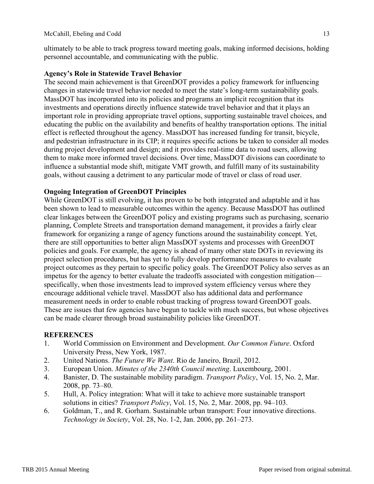ultimately to be able to track progress toward meeting goals, making informed decisions, holding 1 personnel accountable, and communicating with the public. 2

# **Agency's Role in Statewide Travel Behavior** 4

The second main achievement is that GreenDOT provides a policy framework for influencing 5 changes in statewide travel behavior needed to meet the state's long-term sustainability goals. 6 MassDOT has incorporated into its policies and programs an implicit recognition that its 7 investments and operations directly influence statewide travel behavior and that it plays an 8 important role in providing appropriate travel options, supporting sustainable travel choices, and 9 educating the public on the availability and benefits of healthy transportation options. The initial effect is reflected throughout the agency. MassDOT has increased funding for transit, bicycle, 11 and pedestrian infrastructure in its CIP; it requires specific actions be taken to consider all modes during project development and design; and it provides real-time data to road users, allowing 13 them to make more informed travel decisions. Over time, MassDOT divisions can coordinate to 14 influence a substantial mode shift, mitigate VMT growth, and fulfill many of its sustainability 15 goals, without causing a detriment to any particular mode of travel or class of road user. 16

# **Ongoing Integration of GreenDOT Principles**

While GreenDOT is still evolving, it has proven to be both integrated and adaptable and it has been shown to lead to measurable outcomes within the agency. Because MassDOT has outlined clear linkages between the GreenDOT policy and existing programs such as purchasing, scenario 21 planning, Complete Streets and transportation demand management, it provides a fairly clear 22 framework for organizing a range of agency functions around the sustainability concept. Yet, 23 there are still opportunities to better align MassDOT systems and processes with GreenDOT policies and goals. For example, the agency is ahead of many other state DOTs in reviewing its 25 project selection procedures, but has yet to fully develop performance measures to evaluate 26 project outcomes as they pertain to specific policy goals. The GreenDOT Policy also serves as an 27 impetus for the agency to better evaluate the tradeoffs associated with congestion mitigation specifically, when those investments lead to improved system efficiency versus where they encourage additional vehicle travel. MassDOT also has additional data and performance 30 measurement needs in order to enable robust tracking of progress toward GreenDOT goals. These are issues that few agencies have begun to tackle with much success, but whose objectives can be made clearer through broad sustainability policies like GreenDOT.

## **REFERENCES** 35

- 1. World Commission on Environment and Development. *Our Common Future*. Oxford 36 University Press, New York, 1987.
- 2. United Nations. *The Future We Want*. Rio de Janeiro, Brazil, 2012.
- 3. European Union. *Minutes of the 2340th Council meeting*. Luxembourg, 2001. 39
- 4. Banister, D. The sustainable mobility paradigm. *Transport Policy*, Vol. 15, No. 2, Mar.  $2008$ , pp. 73–80.
- 5. Hull, A. Policy integration: What will it take to achieve more sustainable transport 42 solutions in cities? *Transport Policy*, Vol. 15, No. 2, Mar. 2008, pp. 94–103.
- 6. Goldman, T., and R. Gorham. Sustainable urban transport: Four innovative directions. 44 *Technology in Society*, Vol. 28, No. 1-2, Jan. 2006, pp. 261–273. 45